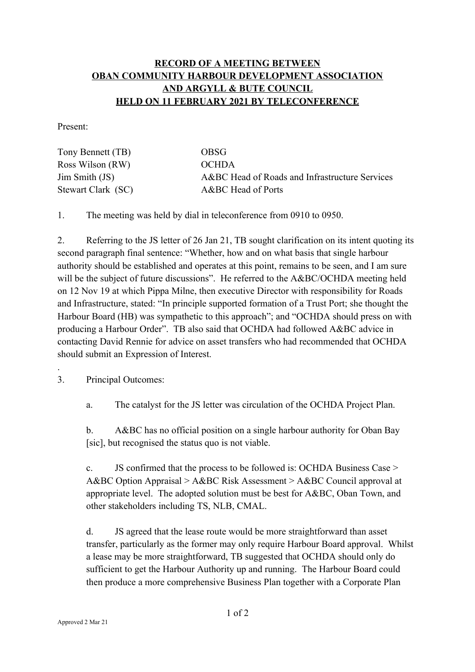## **RECORD OF A MEETING BETWEEN OBAN COMMUNITY HARBOUR DEVELOPMENT ASSOCIATION AND ARGYLL & BUTE COUNCIL HELD ON 11 FEBRUARY 2021 BY TELECONFERENCE**

Present:

| Tony Bennett (TB)  | <b>OBSG</b>                                    |
|--------------------|------------------------------------------------|
| Ross Wilson (RW)   | <b>OCHDA</b>                                   |
| Jim Smith (JS)     | A&BC Head of Roads and Infrastructure Services |
| Stewart Clark (SC) | A&BC Head of Ports                             |

1. The meeting was held by dial in teleconference from 0910 to 0950.

2. Referring to the JS letter of 26 Jan 21, TB sought clarification on its intent quoting its second paragraph final sentence: "Whether, how and on what basis that single harbour authority should be established and operates at this point, remains to be seen, and I am sure will be the subject of future discussions". He referred to the A&BC/OCHDA meeting held on 12 Nov 19 at which Pippa Milne, then executive Director with responsibility for Roads and Infrastructure, stated: "In principle supported formation of a Trust Port; she thought the Harbour Board (HB) was sympathetic to this approach"; and "OCHDA should press on with producing a Harbour Order". TB also said that OCHDA had followed A&BC advice in contacting David Rennie for advice on asset transfers who had recommended that OCHDA should submit an Expression of Interest.

3. Principal Outcomes:

.

a. The catalyst for the JS letter was circulation of the OCHDA Project Plan.

b. A&BC has no official position on a single harbour authority for Oban Bay [sic], but recognised the status quo is not viable.

c. JS confirmed that the process to be followed is: OCHDA Business Case > A&BC Option Appraisal > A&BC Risk Assessment > A&BC Council approval at appropriate level. The adopted solution must be best for A&BC, Oban Town, and other stakeholders including TS, NLB, CMAL.

d. JS agreed that the lease route would be more straightforward than asset transfer, particularly as the former may only require Harbour Board approval. Whilst a lease may be more straightforward, TB suggested that OCHDA should only do sufficient to get the Harbour Authority up and running. The Harbour Board could then produce a more comprehensive Business Plan together with a Corporate Plan